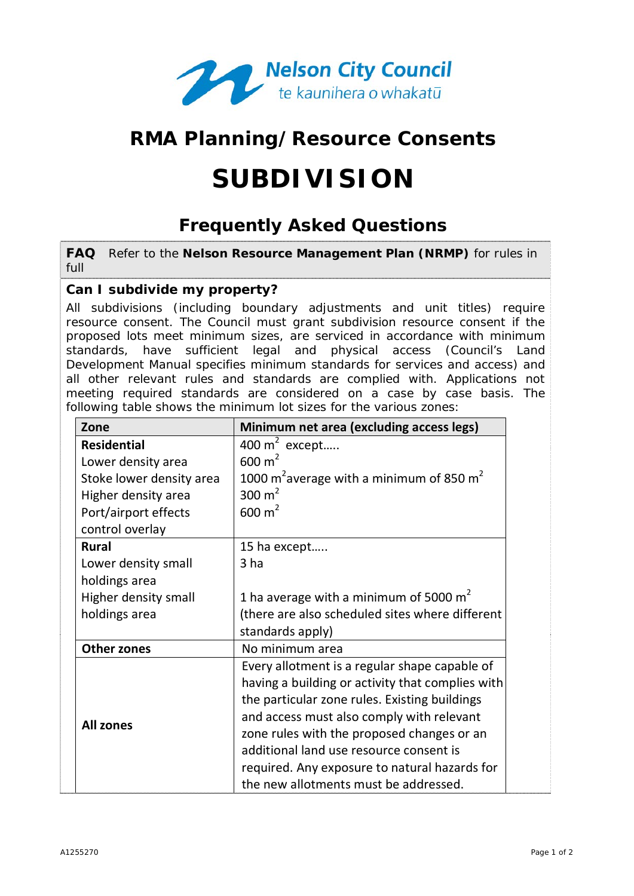

# **RMA Planning/Resource Consents**

# **SUBDIVISION**

# **Frequently Asked Questions**

**FAQ** Refer to the **Nelson Resource Management Plan (NRMP)** for rules in full

## **Can I subdivide my property?**

All subdivisions (including boundary adjustments and unit titles) require resource consent. The Council must grant subdivision resource consent if the proposed lots meet minimum sizes, are serviced in accordance with minimum standards, have sufficient legal and physical access (Council's Land Development Manual specifies minimum standards for services and access) and all other relevant rules and standards are complied with. Applications not meeting required standards are considered on a case by case basis. The following table shows the minimum lot sizes for the various zones:

| Zone                     | Minimum net area (excluding access legs)                                                                                                                                                                                                                                                                                                                                           |
|--------------------------|------------------------------------------------------------------------------------------------------------------------------------------------------------------------------------------------------------------------------------------------------------------------------------------------------------------------------------------------------------------------------------|
| <b>Residential</b>       | 400 $m^2$ except                                                                                                                                                                                                                                                                                                                                                                   |
| Lower density area       | $600 \text{ m}^2$                                                                                                                                                                                                                                                                                                                                                                  |
| Stoke lower density area | 1000 m <sup>2</sup> average with a minimum of 850 m <sup>2</sup>                                                                                                                                                                                                                                                                                                                   |
| Higher density area      | 300 $m2$                                                                                                                                                                                                                                                                                                                                                                           |
| Port/airport effects     | $600 \text{ m}^2$                                                                                                                                                                                                                                                                                                                                                                  |
| control overlay          |                                                                                                                                                                                                                                                                                                                                                                                    |
| <b>Rural</b>             | 15 ha except                                                                                                                                                                                                                                                                                                                                                                       |
| Lower density small      | 3 <sub>ha</sub>                                                                                                                                                                                                                                                                                                                                                                    |
| holdings area            |                                                                                                                                                                                                                                                                                                                                                                                    |
| Higher density small     | 1 ha average with a minimum of 5000 $m2$                                                                                                                                                                                                                                                                                                                                           |
| holdings area            | (there are also scheduled sites where different                                                                                                                                                                                                                                                                                                                                    |
|                          | standards apply)                                                                                                                                                                                                                                                                                                                                                                   |
| <b>Other zones</b>       | No minimum area                                                                                                                                                                                                                                                                                                                                                                    |
| <b>All zones</b>         | Every allotment is a regular shape capable of<br>having a building or activity that complies with<br>the particular zone rules. Existing buildings<br>and access must also comply with relevant<br>zone rules with the proposed changes or an<br>additional land use resource consent is<br>required. Any exposure to natural hazards for<br>the new allotments must be addressed. |